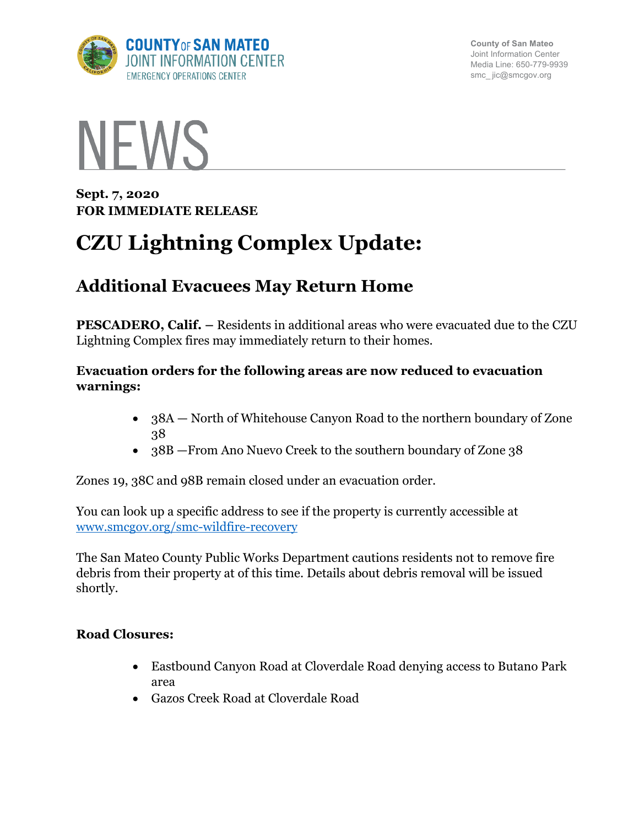

**County of San Mateo** Joint Information Center Media Line: 650-779-9939 smc\_ jic@smcgov.org



**Sept. 7, 2020 FOR IMMEDIATE RELEASE** 

# **CZU Lightning Complex Update:**

# **Additional Evacuees May Return Home**

**PESCADERO, Calif. –** Residents in additional areas who were evacuated due to the CZU Lightning Complex fires may immediately return to their homes.

#### **Evacuation orders for the following areas are now reduced to evacuation warnings:**

- 38A North of Whitehouse Canyon Road to the northern boundary of Zone 38
- 38B From Ano Nuevo Creek to the southern boundary of Zone 38

Zones 19, 38C and 98B remain closed under an evacuation order.

You can look up a specific address to see if the property is currently accessible at www.smcgov.org/smc-wildfire-recovery

The San Mateo County Public Works Department cautions residents not to remove fire debris from their property at of this time. Details about debris removal will be issued shortly.

# **Road Closures:**

- Eastbound Canyon Road at Cloverdale Road denying access to Butano Park area
- Gazos Creek Road at Cloverdale Road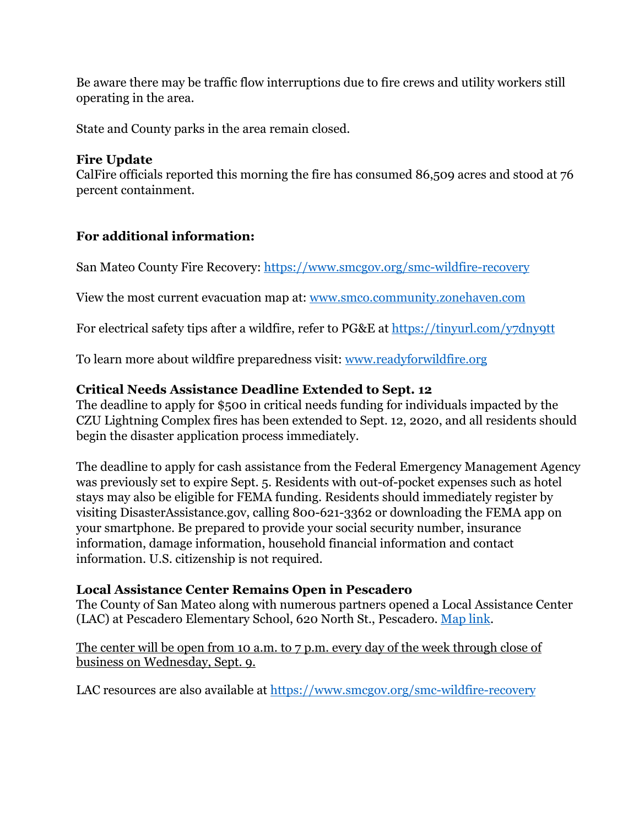Be aware there may be traffic flow interruptions due to fire crews and utility workers still operating in the area.

State and County parks in the area remain closed.

#### **Fire Update**

CalFire officials reported this morning the fire has consumed 86,509 acres and stood at 76 percent containment.

# **For additional information:**

San Mateo County Fire Recovery: https://www.smcgov.org/smc-wildfire-recovery

View the most current evacuation map at: www.smco.community.zonehaven.com

For electrical safety tips after a wildfire, refer to PG&E at https://tinyurl.com/y7dny9tt

To learn more about wildfire preparedness visit: www.readyforwildfire.org

# **Critical Needs Assistance Deadline Extended to Sept. 12**

The deadline to apply for \$500 in critical needs funding for individuals impacted by the CZU Lightning Complex fires has been extended to Sept. 12, 2020, and all residents should begin the disaster application process immediately.

The deadline to apply for cash assistance from the Federal Emergency Management Agency was previously set to expire Sept. 5. Residents with out-of-pocket expenses such as hotel stays may also be eligible for FEMA funding. Residents should immediately register by visiting DisasterAssistance.gov, calling 800-621-3362 or downloading the FEMA app on your smartphone. Be prepared to provide your social security number, insurance information, damage information, household financial information and contact information. U.S. citizenship is not required.

# **Local Assistance Center Remains Open in Pescadero**

The County of San Mateo along with numerous partners opened a Local Assistance Center (LAC) at Pescadero Elementary School, 620 North St., Pescadero. Map link.

The center will be open from 10 a.m. to 7 p.m. every day of the week through close of business on Wednesday, Sept. 9.

LAC resources are also available at https://www.smcgov.org/smc-wildfire-recovery